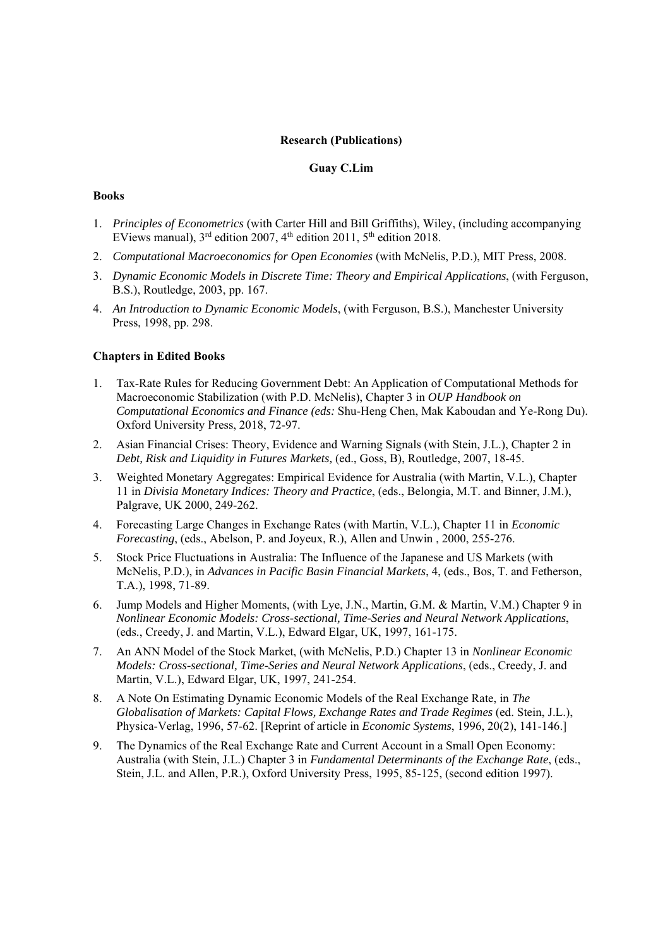### **Research (Publications)**

# **Guay C.Lim**

#### **Books**

- 1. *Principles of Econometrics* (with Carter Hill and Bill Griffiths), Wiley, (including accompanying EViews manual),  $3^{rd}$  edition 2007,  $4^{th}$  edition 2011,  $5^{th}$  edition 2018.
- 2. *Computational Macroeconomics for Open Economies* (with McNelis, P.D.), MIT Press, 2008.
- 3. *Dynamic Economic Models in Discrete Time: Theory and Empirical Applications*, (with Ferguson, B.S.), Routledge, 2003, pp. 167.
- 4. *An Introduction to Dynamic Economic Models*, (with Ferguson, B.S.), Manchester University Press, 1998, pp. 298.

### **Chapters in Edited Books**

- 1. Tax-Rate Rules for Reducing Government Debt: An Application of Computational Methods for Macroeconomic Stabilization (with P.D. McNelis), Chapter 3 in *OUP Handbook on Computational Economics and Finance (eds:* Shu-Heng Chen, Mak Kaboudan and Ye-Rong Du). Oxford University Press, 2018, 72-97.
- 2. Asian Financial Crises: Theory, Evidence and Warning Signals (with Stein, J.L.), Chapter 2 in *Debt, Risk and Liquidity in Futures Markets,* (ed., Goss, B), Routledge, 2007, 18-45.
- 3. Weighted Monetary Aggregates: Empirical Evidence for Australia (with Martin, V.L.), Chapter 11 in *Divisia Monetary Indices: Theory and Practice*, (eds., Belongia, M.T. and Binner, J.M.), Palgrave, UK 2000, 249-262.
- 4. Forecasting Large Changes in Exchange Rates (with Martin, V.L.), Chapter 11 in *Economic Forecasting*, (eds., Abelson, P. and Joyeux, R.), Allen and Unwin , 2000, 255-276.
- 5. Stock Price Fluctuations in Australia: The Influence of the Japanese and US Markets (with McNelis, P.D.), in *Advances in Pacific Basin Financial Markets*, 4, (eds., Bos, T. and Fetherson, T.A.), 1998, 71-89.
- 6. Jump Models and Higher Moments, (with Lye, J.N., Martin, G.M. & Martin, V.M.) Chapter 9 in *Nonlinear Economic Models: Cross-sectional, Time-Series and Neural Network Applications*, (eds., Creedy, J. and Martin, V.L.), Edward Elgar, UK, 1997, 161-175.
- 7. An ANN Model of the Stock Market, (with McNelis, P.D.) Chapter 13 in *Nonlinear Economic Models: Cross-sectional, Time-Series and Neural Network Applications*, (eds., Creedy, J. and Martin, V.L.), Edward Elgar, UK, 1997, 241-254.
- 8. A Note On Estimating Dynamic Economic Models of the Real Exchange Rate, in *The Globalisation of Markets: Capital Flows, Exchange Rates and Trade Regimes* (ed. Stein, J.L.), Physica-Verlag, 1996, 57-62. [Reprint of article in *Economic Systems*, 1996, 20(2), 141-146.]
- 9. The Dynamics of the Real Exchange Rate and Current Account in a Small Open Economy: Australia (with Stein, J.L.) Chapter 3 in *Fundamental Determinants of the Exchange Rate*, (eds., Stein, J.L. and Allen, P.R.), Oxford University Press, 1995, 85-125, (second edition 1997).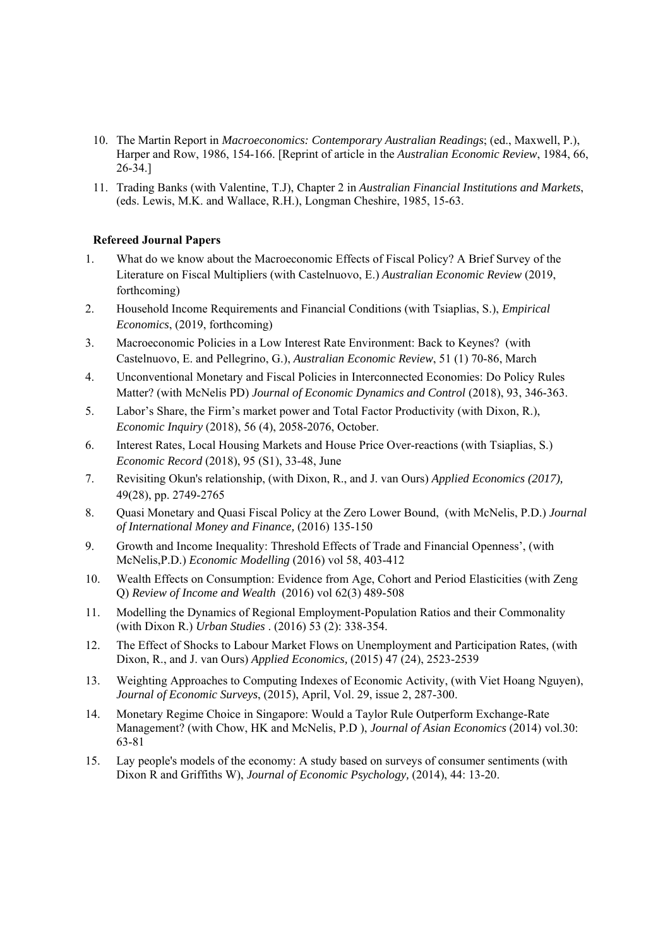- 10. The Martin Report in *Macroeconomics: Contemporary Australian Readings*; (ed., Maxwell, P.), Harper and Row, 1986, 154-166. [Reprint of article in the *Australian Economic Review*, 1984, 66, 26-34.]
- 11. Trading Banks (with Valentine, T.J), Chapter 2 in *Australian Financial Institutions and Markets*, (eds. Lewis, M.K. and Wallace, R.H.), Longman Cheshire, 1985, 15-63.

## **Refereed Journal Papers**

- 1. What do we know about the Macroeconomic Effects of Fiscal Policy? A Brief Survey of the Literature on Fiscal Multipliers (with Castelnuovo, E.) *Australian Economic Review* (2019, forthcoming)
- 2. Household Income Requirements and Financial Conditions (with Tsiaplias, S.), *Empirical Economics*, (2019, forthcoming)
- 3. Macroeconomic Policies in a Low Interest Rate Environment: Back to Keynes? (with Castelnuovo, E. and Pellegrino, G.), *Australian Economic Review*, 51 (1) 70-86, March
- 4. Unconventional Monetary and Fiscal Policies in Interconnected Economies: Do Policy Rules Matter? (with McNelis PD) *Journal of Economic Dynamics and Control* (2018), 93, 346-363.
- 5. Labor's Share, the Firm's market power and Total Factor Productivity (with Dixon, R.), *Economic Inquiry* (2018), 56 (4), 2058-2076, October.
- 6. Interest Rates, Local Housing Markets and House Price Over-reactions (with Tsiaplias, S.) *Economic Record* (2018), 95 (S1), 33-48, June
- 7. Revisiting Okun's relationship, (with Dixon, R., and J. van Ours) *Applied Economics (2017),*  49(28), pp. 2749-2765
- 8. Quasi Monetary and Quasi Fiscal Policy at the Zero Lower Bound, (with McNelis, P.D.) *Journal of International Money and Finance,* (2016) 135-150
- 9. Growth and Income Inequality: Threshold Effects of Trade and Financial Openness', (with McNelis,P.D.) *Economic Modelling* (2016) vol 58, 403-412
- 10. Wealth Effects on Consumption: Evidence from Age, Cohort and Period Elasticities (with Zeng Q) *Review of Income and Wealth* (2016) vol 62(3) 489-508
- 11. Modelling the Dynamics of Regional Employment-Population Ratios and their Commonality (with Dixon R.) *Urban Studies* . (2016) 53 (2): 338-354.
- 12. The Effect of Shocks to Labour Market Flows on Unemployment and Participation Rates, (with Dixon, R., and J. van Ours) *Applied Economics,* (2015) 47 (24), 2523-2539
- 13. Weighting Approaches to Computing Indexes of Economic Activity, (with Viet Hoang Nguyen), *Journal of Economic Surveys*, (2015), April, Vol. 29, issue 2, 287-300.
- 14. Monetary Regime Choice in Singapore: Would a Taylor Rule Outperform Exchange-Rate Management? (with Chow, HK and McNelis, P.D ), *Journal of Asian Economics* (2014) vol.30: 63-81
- 15. Lay people's models of the economy: A study based on surveys of consumer sentiments (with Dixon R and Griffiths W), *Journal of Economic Psychology,* (2014), 44: 13-20.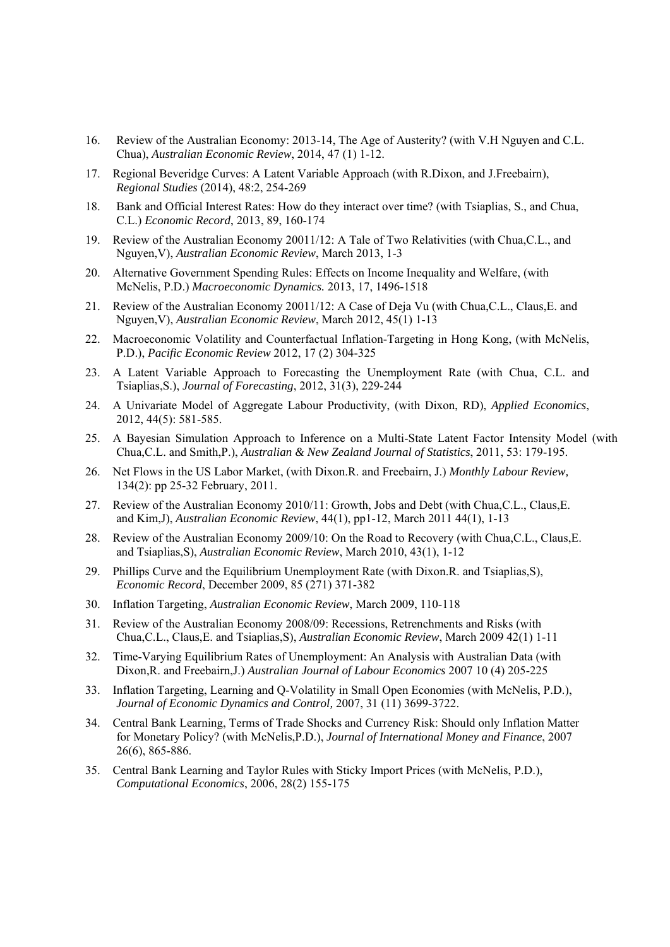- 16. Review of the Australian Economy: 2013-14, The Age of Austerity? (with V.H Nguyen and C.L. Chua), *Australian Economic Review*, 2014, 47 (1) 1-12.
- 17. Regional Beveridge Curves: A Latent Variable Approach (with R.Dixon, and J.Freebairn), *Regional Studies* (2014), 48:2, 254-269
- 18. Bank and Official Interest Rates: How do they interact over time? (with Tsiaplias, S., and Chua, C.L.) *Economic Record*, 2013, 89, 160-174
- 19. Review of the Australian Economy 20011/12: A Tale of Two Relativities (with Chua,C.L., and Nguyen,V), *Australian Economic Review*, March 2013, 1-3
- 20. Alternative Government Spending Rules: Effects on Income Inequality and Welfare, (with McNelis, P.D.) *Macroeconomic Dynamics.* 2013, 17, 1496-1518
- 21. Review of the Australian Economy 20011/12: A Case of Deja Vu (with Chua,C.L., Claus,E. and Nguyen,V), *Australian Economic Review*, March 2012, 45(1) 1-13
- 22. Macroeconomic Volatility and Counterfactual Inflation-Targeting in Hong Kong, (with McNelis, P.D.), *Pacific Economic Review* 2012, 17 (2) 304-325
- 23. A Latent Variable Approach to Forecasting the Unemployment Rate (with Chua, C.L. and Tsiaplias,S.), *Journal of Forecasting*, 2012, 31(3), 229-244
- 24. A Univariate Model of Aggregate Labour Productivity, (with Dixon, RD), *Applied Economics*, 2012, 44(5): 581-585.
- 25. A Bayesian Simulation Approach to Inference on a Multi-State Latent Factor Intensity Model (with Chua,C.L. and Smith,P.), *Australian & New Zealand Journal of Statistics*, 2011, 53: 179-195.
- 26. Net Flows in the US Labor Market, (with Dixon.R. and Freebairn, J.) *Monthly Labour Review,* 134(2): pp 25-32 February, 2011.
- 27. Review of the Australian Economy 2010/11: Growth, Jobs and Debt (with Chua,C.L., Claus,E. and Kim,J), *Australian Economic Review*, 44(1), pp1-12, March 2011 44(1), 1-13
- 28. Review of the Australian Economy 2009/10: On the Road to Recovery (with Chua,C.L., Claus,E. and Tsiaplias,S), *Australian Economic Review*, March 2010, 43(1), 1-12
- 29. Phillips Curve and the Equilibrium Unemployment Rate (with Dixon.R. and Tsiaplias,S), *Economic Record*, December 2009, 85 (271) 371-382
- 30. Inflation Targeting, *Australian Economic Review*, March 2009, 110-118
- 31. Review of the Australian Economy 2008/09: Recessions, Retrenchments and Risks (with Chua,C.L., Claus,E. and Tsiaplias,S), *Australian Economic Review*, March 2009 42(1) 1-11
- 32. Time-Varying Equilibrium Rates of Unemployment: An Analysis with Australian Data (with Dixon,R. and Freebairn,J.) *Australian Journal of Labour Economics* 2007 10 (4) 205-225
- 33. Inflation Targeting, Learning and Q-Volatility in Small Open Economies (with McNelis, P.D.), *Journal of Economic Dynamics and Control,* 2007, 31 (11) 3699-3722.
- 34. Central Bank Learning, Terms of Trade Shocks and Currency Risk: Should only Inflation Matter for Monetary Policy? (with McNelis,P.D.), *Journal of International Money and Finance*, 2007 26(6), 865-886.
- 35. Central Bank Learning and Taylor Rules with Sticky Import Prices (with McNelis, P.D.), *Computational Economics*, 2006, 28(2) 155-175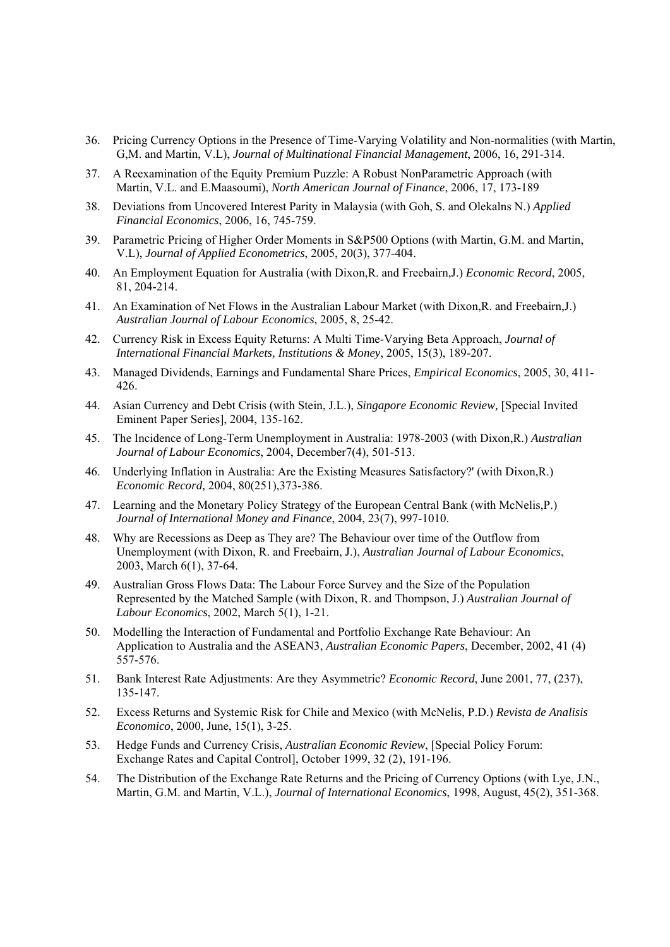- 36. Pricing Currency Options in the Presence of Time-Varying Volatility and Non-normalities (with Martin, G,M. and Martin, V.L), *Journal of Multinational Financial Management*, 2006, 16, 291-314.
- 37. A Reexamination of the Equity Premium Puzzle: A Robust NonParametric Approach (with Martin, V.L. and E.Maasoumi), *North American Journal of Finance*, 2006, 17, 173-189
- 38. Deviations from Uncovered Interest Parity in Malaysia (with Goh, S. and Olekalns N.) *Applied Financial Economics*, 2006, 16, 745-759.
- 39. Parametric Pricing of Higher Order Moments in S&P500 Options (with Martin, G.M. and Martin, V.L), *Journal of Applied Econometrics*, 2005, 20(3), 377-404.
- 40. An Employment Equation for Australia (with Dixon,R. and Freebairn,J.) *Economic Record*, 2005, 81, 204-214.
- 41. An Examination of Net Flows in the Australian Labour Market (with Dixon,R. and Freebairn,J.) *Australian Journal of Labour Economics*, 2005, 8, 25-42.
- 42. Currency Risk in Excess Equity Returns: A Multi Time-Varying Beta Approach, *Journal of International Financial Markets, Institutions & Money*, 2005, 15(3), 189-207.
- 43. Managed Dividends, Earnings and Fundamental Share Prices, *Empirical Economics*, 2005, 30, 411- 426.
- 44. Asian Currency and Debt Crisis (with Stein, J.L.), *Singapore Economic Review,* [Special Invited Eminent Paper Series], 2004, 135-162.
- 45. The Incidence of Long-Term Unemployment in Australia: 1978-2003 (with Dixon,R.) *Australian Journal of Labour Economics*, 2004, December7(4), 501-513.
- 46. Underlying Inflation in Australia: Are the Existing Measures Satisfactory?' (with Dixon,R.) *Economic Record,* 2004, 80(251),373-386.
- 47. Learning and the Monetary Policy Strategy of the European Central Bank (with McNelis,P.) *Journal of International Money and Finance*, 2004, 23(7), 997-1010.
- 48. Why are Recessions as Deep as They are? The Behaviour over time of the Outflow from Unemployment (with Dixon, R. and Freebairn, J.), *Australian Journal of Labour Economics*, 2003, March 6(1), 37-64.
- 49. Australian Gross Flows Data: The Labour Force Survey and the Size of the Population Represented by the Matched Sample (with Dixon, R. and Thompson, J.) *Australian Journal of Labour Economics*, 2002, March 5(1), 1-21.
- 50. Modelling the Interaction of Fundamental and Portfolio Exchange Rate Behaviour: An Application to Australia and the ASEAN3, *Australian Economic Papers*, December, 2002, 41 (4) 557-576.
- 51. Bank Interest Rate Adjustments: Are they Asymmetric? *Economic Record*, June 2001, 77, (237), 135-147.
- 52. Excess Returns and Systemic Risk for Chile and Mexico (with McNelis, P.D.) *Revista de Analisis Economico*, 2000, June, 15(1), 3-25.
- 53. Hedge Funds and Currency Crisis, *Australian Economic Review*, [Special Policy Forum: Exchange Rates and Capital Control], October 1999, 32 (2), 191-196.
- 54. The Distribution of the Exchange Rate Returns and the Pricing of Currency Options (with Lye, J.N., Martin, G.M. and Martin, V.L.), *Journal of International Economics*, 1998, August, 45(2), 351-368.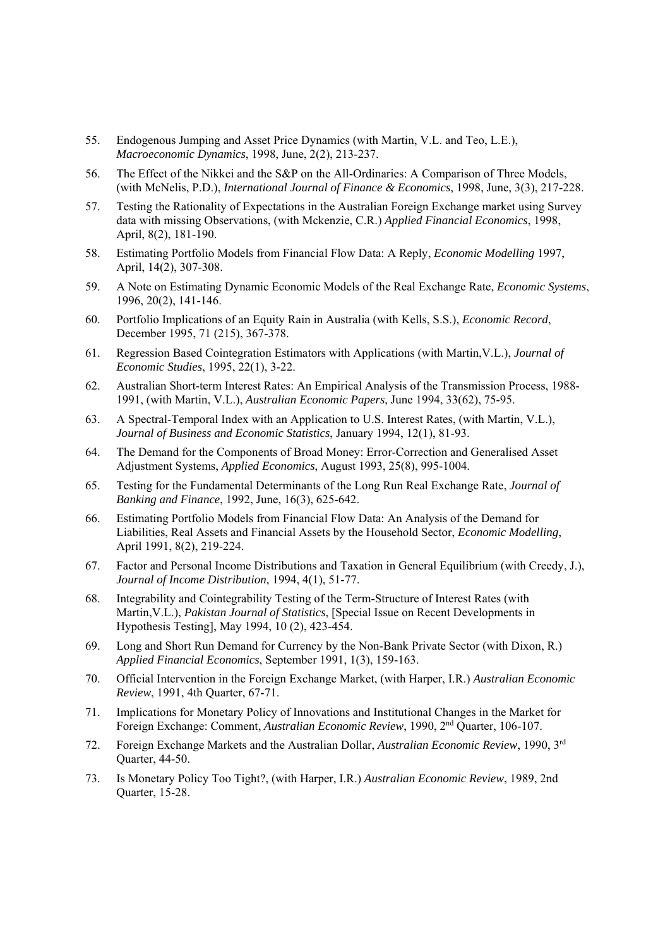- 55. Endogenous Jumping and Asset Price Dynamics (with Martin, V.L. and Teo, L.E.), *Macroeconomic Dynamics*, 1998, June, 2(2), 213-237.
- 56. The Effect of the Nikkei and the S&P on the All-Ordinaries: A Comparison of Three Models, (with McNelis, P.D.), *International Journal of Finance & Economics*, 1998, June, 3(3), 217-228.
- 57. Testing the Rationality of Expectations in the Australian Foreign Exchange market using Survey data with missing Observations, (with Mckenzie, C.R.) *Applied Financial Economics*, 1998, April, 8(2), 181-190.
- 58. Estimating Portfolio Models from Financial Flow Data: A Reply, *Economic Modelling* 1997, April, 14(2), 307-308.
- 59. A Note on Estimating Dynamic Economic Models of the Real Exchange Rate, *Economic Systems*, 1996, 20(2), 141-146.
- 60. Portfolio Implications of an Equity Rain in Australia (with Kells, S.S.), *Economic Record*, December 1995, 71 (215), 367-378.
- 61. Regression Based Cointegration Estimators with Applications (with Martin,V.L.), *Journal of Economic Studies*, 1995, 22(1), 3-22.
- 62. Australian Short-term Interest Rates: An Empirical Analysis of the Transmission Process, 1988- 1991, (with Martin, V.L.), *Australian Economic Papers*, June 1994, 33(62), 75-95.
- 63. A Spectral-Temporal Index with an Application to U.S. Interest Rates, (with Martin, V.L.), *Journal of Business and Economic Statistics*, January 1994, 12(1), 81-93.
- 64. The Demand for the Components of Broad Money: Error-Correction and Generalised Asset Adjustment Systems, *Applied Economics*, August 1993, 25(8), 995-1004.
- 65. Testing for the Fundamental Determinants of the Long Run Real Exchange Rate, *Journal of Banking and Finance*, 1992, June, 16(3), 625-642.
- 66. Estimating Portfolio Models from Financial Flow Data: An Analysis of the Demand for Liabilities, Real Assets and Financial Assets by the Household Sector, *Economic Modelling*, April 1991, 8(2), 219-224.
- 67. Factor and Personal Income Distributions and Taxation in General Equilibrium (with Creedy, J.), *Journal of Income Distribution*, 1994, 4(1), 51-77.
- 68. Integrability and Cointegrability Testing of the Term-Structure of Interest Rates (with Martin,V.L.), *Pakistan Journal of Statistics*, [Special Issue on Recent Developments in Hypothesis Testing], May 1994, 10 (2), 423-454.
- 69. Long and Short Run Demand for Currency by the Non-Bank Private Sector (with Dixon, R.) *Applied Financial Economics*, September 1991, 1(3), 159-163.
- 70. Official Intervention in the Foreign Exchange Market, (with Harper, I.R.) *Australian Economic Review*, 1991, 4th Quarter, 67-71.
- 71. Implications for Monetary Policy of Innovations and Institutional Changes in the Market for Foreign Exchange: Comment, *Australian Economic Review*, 1990, 2nd Quarter, 106-107.
- 72. Foreign Exchange Markets and the Australian Dollar, *Australian Economic Review*, 1990, 3rd Quarter, 44-50.
- 73. Is Monetary Policy Too Tight?, (with Harper, I.R.) *Australian Economic Review*, 1989, 2nd Quarter, 15-28.